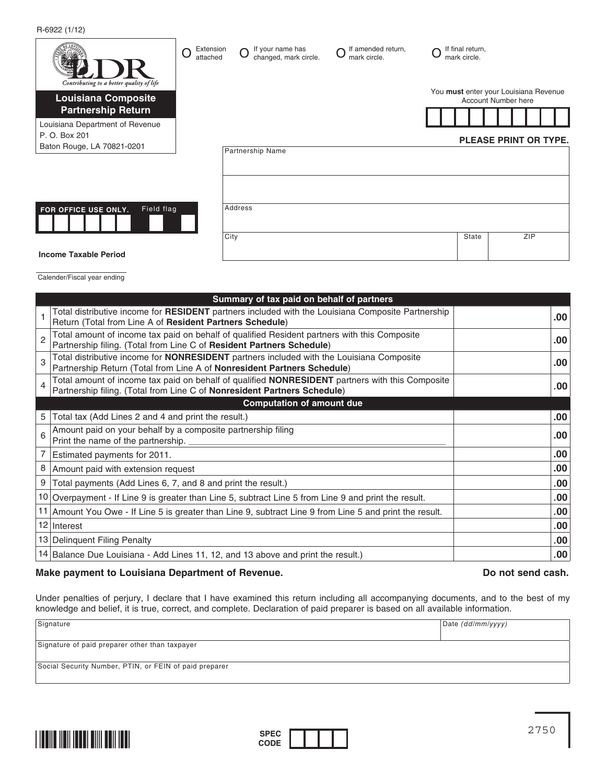R-6922 (1/12)

| Contributing to a better quality of life                | Extension<br>O<br>attached | If your name has<br>changed, mark circle. | If amended return,<br>mark circle. | If final return,<br>mark circle. |                                                                     |
|---------------------------------------------------------|----------------------------|-------------------------------------------|------------------------------------|----------------------------------|---------------------------------------------------------------------|
| <b>Louisiana Composite</b><br><b>Partnership Return</b> |                            |                                           |                                    |                                  | You must enter your Louisiana Revenue<br><b>Account Number here</b> |
| Louisiana Department of Revenue<br>P. O. Box 201        |                            |                                           |                                    |                                  |                                                                     |
| Baton Rouge, LA 70821-0201                              |                            | Partnership Name                          |                                    |                                  | <b>PLEASE PRINT OR TYPE.</b>                                        |
|                                                         |                            |                                           |                                    |                                  |                                                                     |
|                                                         |                            |                                           |                                    |                                  |                                                                     |
| Field flag<br>FOR OFFICE USE ONLY.                      |                            | Address                                   |                                    |                                  |                                                                     |
|                                                         |                            | City                                      |                                    | State                            | ZIP                                                                 |
| <b>Income Taxable Period</b>                            |                            |                                           |                                    |                                  |                                                                     |

Calender/Fiscal year ending

|                | Summary of tax paid on behalf of partners                                                                                                                                          |                  |
|----------------|------------------------------------------------------------------------------------------------------------------------------------------------------------------------------------|------------------|
|                | Total distributive income for RESIDENT partners included with the Louisiana Composite Partnership<br>Return (Total from Line A of Resident Partners Schedule)                      | $.00 \cdot$      |
| $\overline{2}$ | Total amount of income tax paid on behalf of qualified Resident partners with this Composite<br>Partnership filing. (Total from Line C of Resident Partners Schedule)              | $.00 \cdot$      |
| 3              | Total distributive income for <b>NONRESIDENT</b> partners included with the Louisiana Composite<br>Partnership Return (Total from Line A of Nonresident Partners Schedule)         | .00 <sub>1</sub> |
| 4              | Total amount of income tax paid on behalf of qualified <b>NONRESIDENT</b> partners with this Composite<br>Partnership filing. (Total from Line C of Nonresident Partners Schedule) | .00.             |
|                | <b>Computation of amount due</b>                                                                                                                                                   |                  |
| 5              | Total tax (Add Lines 2 and 4 and print the result.)                                                                                                                                | .00 <sub>1</sub> |
| 6              | Amount paid on your behalf by a composite partnership filing<br>Print the name of the partnership. _                                                                               | $.00 \cdot$      |
|                | Estimated payments for 2011.                                                                                                                                                       | $.00 \cdot$      |
| 8              | Amount paid with extension request                                                                                                                                                 | $.00 \cdot$      |
| 9              | Total payments (Add Lines 6, 7, and 8 and print the result.)                                                                                                                       | $.00 \,$         |
|                | 10 Overpayment - If Line 9 is greater than Line 5, subtract Line 5 from Line 9 and print the result.                                                                               | $.00 \,$         |
|                | 11 Amount You Owe - If Line 5 is greater than Line 9, subtract Line 9 from Line 5 and print the result.                                                                            | $.00 \,$         |
|                | 12 Interest                                                                                                                                                                        | $.00 \,$         |
|                | 13 Delinquent Filing Penalty                                                                                                                                                       | $.00 \,$         |
|                | 14 Balance Due Louisiana - Add Lines 11, 12, and 13 above and print the result.)                                                                                                   | $.00 \,$         |

## **Make payment to Louisiana Department of Revenue. Do not send cash.**

Under penalties of perjury, I declare that I have examined this return including all accompanying documents, and to the best of my knowledge and belief, it is true, correct, and complete. Declaration of paid preparer is based on all available information.

| Signature                                              | Date (dd/mm/yyyy) |  |  |  |  |
|--------------------------------------------------------|-------------------|--|--|--|--|
|                                                        |                   |  |  |  |  |
| Signature of paid preparer other than taxpayer         |                   |  |  |  |  |
|                                                        |                   |  |  |  |  |
| Social Security Number, PTIN, or FEIN of paid preparer |                   |  |  |  |  |
|                                                        |                   |  |  |  |  |



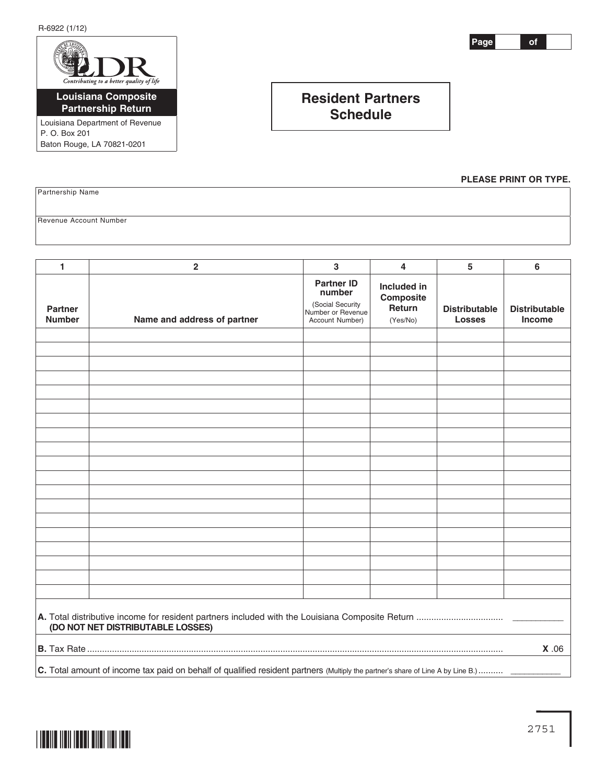R-6922 (1/12)



Louisiana Department of Revenue P. O. Box 201 Baton Rouge, LA 70821-0201

**Page of**

## **Resident Partners Schedule**

**PLEASE PRINT OR TYPE.**

Partnership Name

Revenue Account Number

| 1                                                                                                                               | $\overline{\mathbf{2}}$     | $\mathbf 3$                                                                             | 4                                              | 5                                     | 6                                     |
|---------------------------------------------------------------------------------------------------------------------------------|-----------------------------|-----------------------------------------------------------------------------------------|------------------------------------------------|---------------------------------------|---------------------------------------|
| <b>Partner</b><br><b>Number</b>                                                                                                 | Name and address of partner | <b>Partner ID</b><br>number<br>(Social Security<br>Number or Revenue<br>Account Number) | Included in<br>Composite<br>Return<br>(Yes/No) | <b>Distributable</b><br><b>Losses</b> | <b>Distributable</b><br><b>Income</b> |
|                                                                                                                                 |                             |                                                                                         |                                                |                                       |                                       |
|                                                                                                                                 |                             |                                                                                         |                                                |                                       |                                       |
|                                                                                                                                 |                             |                                                                                         |                                                |                                       |                                       |
|                                                                                                                                 |                             |                                                                                         |                                                |                                       |                                       |
|                                                                                                                                 |                             |                                                                                         |                                                |                                       |                                       |
|                                                                                                                                 |                             |                                                                                         |                                                |                                       |                                       |
|                                                                                                                                 |                             |                                                                                         |                                                |                                       |                                       |
|                                                                                                                                 |                             |                                                                                         |                                                |                                       |                                       |
|                                                                                                                                 |                             |                                                                                         |                                                |                                       |                                       |
|                                                                                                                                 |                             |                                                                                         |                                                |                                       |                                       |
|                                                                                                                                 |                             |                                                                                         |                                                |                                       |                                       |
|                                                                                                                                 |                             |                                                                                         |                                                |                                       |                                       |
|                                                                                                                                 |                             |                                                                                         |                                                |                                       |                                       |
|                                                                                                                                 |                             |                                                                                         |                                                |                                       |                                       |
|                                                                                                                                 |                             |                                                                                         |                                                |                                       |                                       |
|                                                                                                                                 |                             |                                                                                         |                                                |                                       |                                       |
|                                                                                                                                 |                             |                                                                                         |                                                |                                       |                                       |
|                                                                                                                                 |                             |                                                                                         |                                                |                                       |                                       |
|                                                                                                                                 |                             |                                                                                         |                                                |                                       |                                       |
| (DO NOT NET DISTRIBUTABLE LOSSES)                                                                                               |                             |                                                                                         |                                                |                                       |                                       |
| X.06                                                                                                                            |                             |                                                                                         |                                                |                                       |                                       |
| C. Total amount of income tax paid on behalf of qualified resident partners (Multiply the partner's share of Line A by Line B.) |                             |                                                                                         |                                                |                                       |                                       |